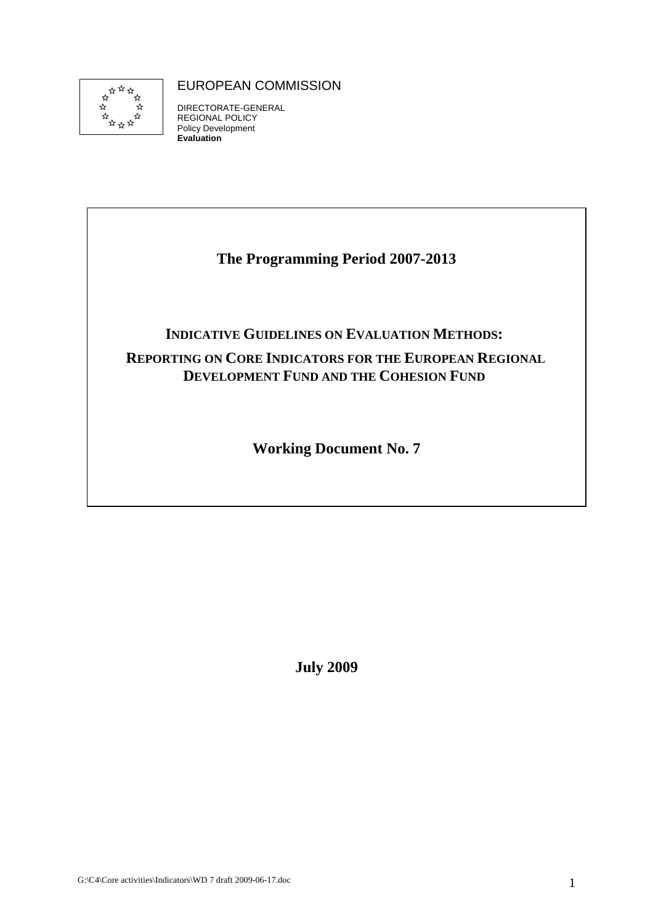

# EUROPEAN COMMISSION

DIRECTORATE-GENERAL REGIONAL POLICY Policy Development **Evaluation** 

# **The Programming Period 2007-2013**

# **INDICATIVE GUIDELINES ON EVALUATION METHODS:**

# **REPORTING ON CORE INDICATORS FOR THE EUROPEAN REGIONAL DEVELOPMENT FUND AND THE COHESION FUND**

**Working Document No. 7** 

**July 2009**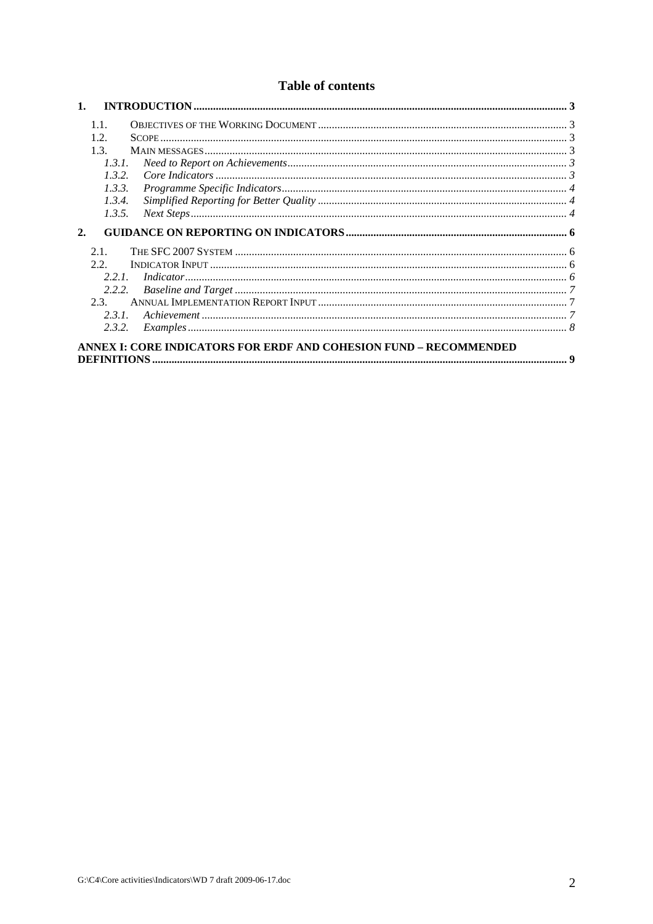# **Table of contents**

|    | 1.1.   |                                                                          |  |
|----|--------|--------------------------------------------------------------------------|--|
|    | 1.2.   |                                                                          |  |
|    | 1.3.   |                                                                          |  |
|    | 1.3.1. |                                                                          |  |
|    | 1.3.2. |                                                                          |  |
|    | 1.3.3. |                                                                          |  |
|    | 1.3.4. |                                                                          |  |
|    | 1.3.5. |                                                                          |  |
| 2. |        |                                                                          |  |
|    | 2.1.   |                                                                          |  |
|    | 2.2.   |                                                                          |  |
|    | 2.2.1  |                                                                          |  |
|    | 2.2.2. |                                                                          |  |
|    | 2.3.   |                                                                          |  |
|    | 2.3.1. |                                                                          |  |
|    | 2.3.2. |                                                                          |  |
|    |        | <b>ANNEX I: CORE INDICATORS FOR ERDF AND COHESION FUND – RECOMMENDED</b> |  |
|    |        |                                                                          |  |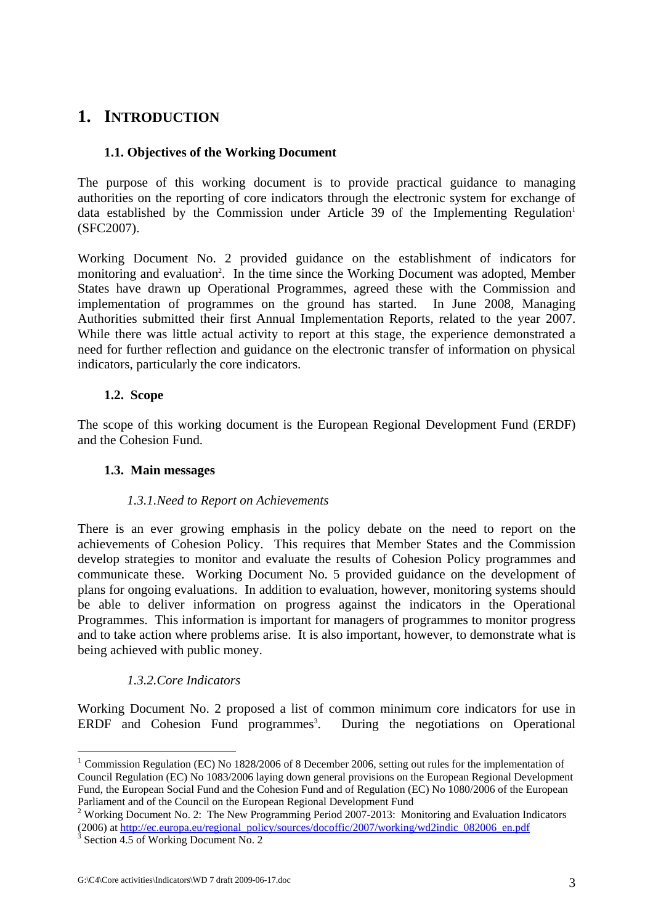# <span id="page-2-1"></span><span id="page-2-0"></span>**1. INTRODUCTION**

# **1.1. Objectives of the Working Document**

The purpose of this working document is to provide practical guidance to managing authorities on the reporting of core indicators through the electronic system for exchange of data established by the Commission under Article 39 of the Implementing Regulation<sup>1</sup> (SFC2007).

Working Document No. 2 provided guidance on the establishment of indicators for monitoring and evaluation<sup>2</sup>. In the time since the Working Document was adopted, Member States have drawn up Operational Programmes, agreed these with the Commission and implementation of programmes on the ground has started. In June 2008, Managing Authorities submitted their first Annual Implementation Reports, related to the year 2007. While there was little actual activity to report at this stage, the experience demonstrated a need for further reflection and guidance on the electronic transfer of information on physical indicators, particularly the core indicators.

# **1.2. Scope**

<span id="page-2-3"></span><span id="page-2-2"></span>The scope of this working document is the European Regional Development Fund (ERDF) and the Cohesion Fund.

# **1.3. Main messages**

# *1.3.1.Need to Report on Achievements*

<span id="page-2-4"></span>There is an ever growing emphasis in the policy debate on the need to report on the achievements of Cohesion Policy. This requires that Member States and the Commission develop strategies to monitor and evaluate the results of Cohesion Policy programmes and communicate these. Working Document No. 5 provided guidance on the development of plans for ongoing evaluations. In addition to evaluation, however, monitoring systems should be able to deliver information on progress against the indicators in the Operational Programmes. This information is important for managers of programmes to monitor progress and to take action where problems arise. It is also important, however, to demonstrate what is being achieved with public money.

# *1.3.2.Core Indicators*

<span id="page-2-5"></span>Working Document No. 2 proposed a list of common minimum core indicators for use in ERDF and Cohesion Fund programmes<sup>3</sup>. During the negotiations on Operational

<u>.</u>

<sup>&</sup>lt;sup>1</sup> Commission Regulation (EC) No 1828/2006 of 8 December 2006, setting out rules for the implementation of Council Regulation (EC) No 1083/2006 laying down general provisions on the European Regional Development Fund, the European Social Fund and the Cohesion Fund and of Regulation (EC) No 1080/2006 of the European Parliament and of the Council on the European Regional Development Fund

<sup>&</sup>lt;sup>2</sup> Working Document No. 2: The New Programming Period 2007-2013: Monitoring and Evaluation Indicators (2006) at http://ec.europa.eu/regional\_policy/sources/docoffic/2007/working/wd2indic\_082006\_en.pdf

 $3$  Section 4.5 of Working Document No. 2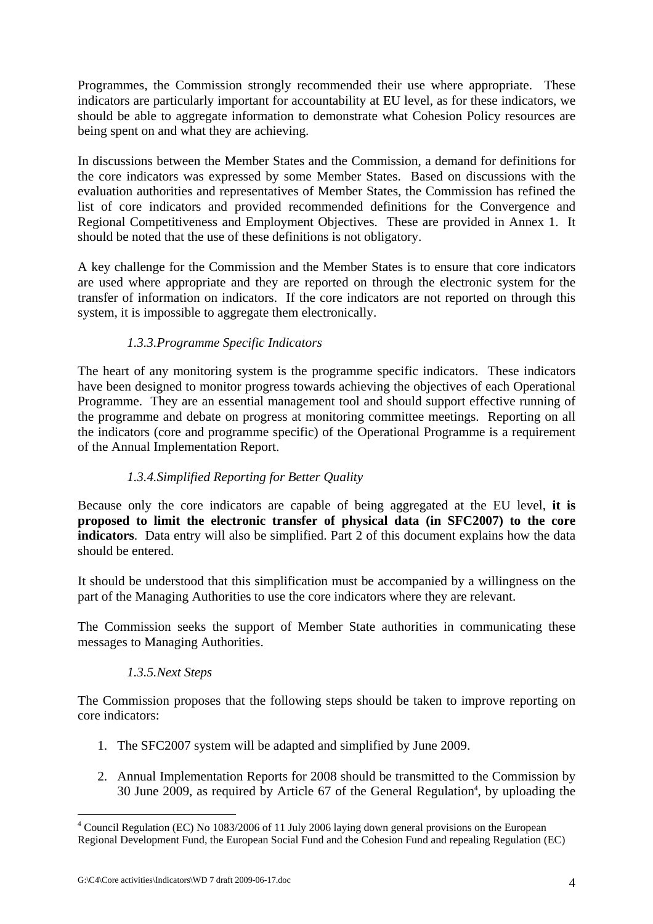Programmes, the Commission strongly recommended their use where appropriate. These indicators are particularly important for accountability at EU level, as for these indicators, we should be able to aggregate information to demonstrate what Cohesion Policy resources are being spent on and what they are achieving.

In discussions between the Member States and the Commission, a demand for definitions for the core indicators was expressed by some Member States. Based on discussions with the evaluation authorities and representatives of Member States, the Commission has refined the list of core indicators and provided recommended definitions for the Convergence and Regional Competitiveness and Employment Objectives. These are provided in Annex 1. It should be noted that the use of these definitions is not obligatory.

A key challenge for the Commission and the Member States is to ensure that core indicators are used where appropriate and they are reported on through the electronic system for the transfer of information on indicators. If the core indicators are not reported on through this system, it is impossible to aggregate them electronically.

# *1.3.3.Programme Specific Indicators*

<span id="page-3-0"></span>The heart of any monitoring system is the programme specific indicators. These indicators have been designed to monitor progress towards achieving the objectives of each Operational Programme. They are an essential management tool and should support effective running of the programme and debate on progress at monitoring committee meetings. Reporting on all the indicators (core and programme specific) of the Operational Programme is a requirement of the Annual Implementation Report.

# *1.3.4.Simplified Reporting for Better Quality*

<span id="page-3-1"></span>Because only the core indicators are capable of being aggregated at the EU level, **it is proposed to limit the electronic transfer of physical data (in SFC2007) to the core indicators**. Data entry will also be simplified. Part 2 of this document explains how the data should be entered.

It should be understood that this simplification must be accompanied by a willingness on the part of the Managing Authorities to use the core indicators where they are relevant.

<span id="page-3-2"></span>The Commission seeks the support of Member State authorities in communicating these messages to Managing Authorities.

# *1.3.5.Next Steps*

The Commission proposes that the following steps should be taken to improve reporting on core indicators:

- 1. The SFC2007 system will be adapted and simplified by June 2009.
- 2. Annual Implementation Reports for 2008 should be transmitted to the Commission by 30 June 2009, as required by Article 67 of the General Regulation<sup>4</sup>, by uploading the

1

<sup>&</sup>lt;sup>4</sup> Council Regulation (EC) No 1083/2006 of 11 July 2006 laying down general provisions on the European Regional Development Fund, the European Social Fund and the Cohesion Fund and repealing Regulation (EC)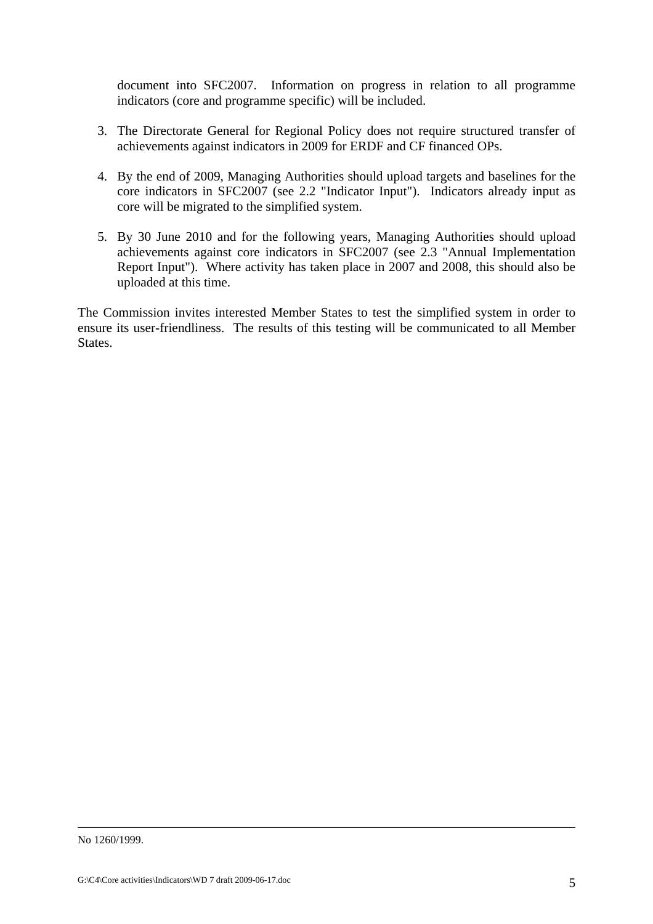document into SFC2007. Information on progress in relation to all programme indicators (core and programme specific) will be included.

- 3. The Directorate General for Regional Policy does not require structured transfer of achievements against indicators in 2009 for ERDF and CF financed OPs.
- 4. By the end of 2009, Managing Authorities should upload targets and baselines for the core indicators in SFC2007 (see 2.2 "Indicator Input"). Indicators already input as core will be migrated to the simplified system.
- 5. By 30 June 2010 and for the following years, Managing Authorities should upload achievements against core indicators in SFC2007 (see 2.3 "Annual Implementation Report Input"). Where activity has taken place in 2007 and 2008, this should also be uploaded at this time.

The Commission invites interested Member States to test the simplified system in order to ensure its user-friendliness. The results of this testing will be communicated to all Member States.

No 1260/1999.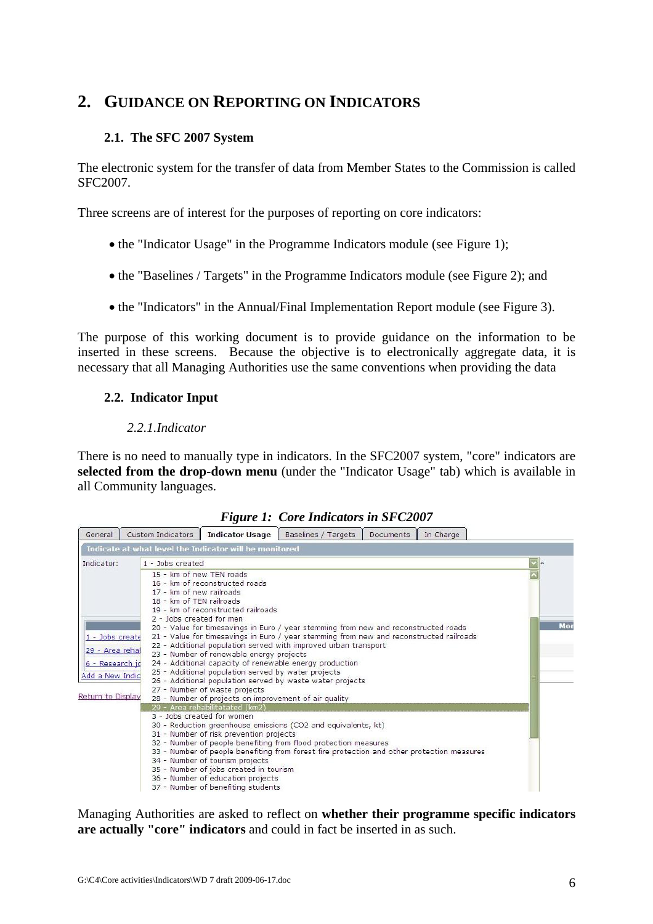# <span id="page-5-1"></span><span id="page-5-0"></span>**2. GUIDANCE ON REPORTING ON INDICATORS**

# **2.1. The SFC 2007 System**

The electronic system for the transfer of data from Member States to the Commission is called SFC2007.

Three screens are of interest for the purposes of reporting on core indicators:

- the "Indicator Usage" in the Programme Indicators module (see Figure 1);
- the "Baselines / Targets" in the Programme Indicators module (see Figure 2); and
- the "Indicators" in the Annual/Final Implementation Report module (see Figure 3).

<span id="page-5-2"></span>The purpose of this working document is to provide guidance on the information to be inserted in these screens. Because the objective is to electronically aggregate data, it is necessary that all Managing Authorities use the same conventions when providing the data

# **2.2. Indicator Input**

# *2.2.1.Indicator*

<span id="page-5-3"></span>There is no need to manually type in indicators. In the SFC2007 system, "core" indicators are **selected from the drop-down menu** (under the "Indicator Usage" tab) which is available in all Community languages.

|  |  | <b>Figure 1: Core Indicators in SFC2007</b> |
|--|--|---------------------------------------------|
|--|--|---------------------------------------------|

|                   | Indicate at what level the Indicator will be monitored                                     |          |  |  |  |  |  |  |
|-------------------|--------------------------------------------------------------------------------------------|----------|--|--|--|--|--|--|
| Indicator:        | 1 - Jobs created                                                                           | $ v $ is |  |  |  |  |  |  |
|                   | 15 - km of new TEN roads                                                                   |          |  |  |  |  |  |  |
|                   | 16 - km of reconstructed roads                                                             |          |  |  |  |  |  |  |
|                   | 17 - km of new railroads                                                                   |          |  |  |  |  |  |  |
|                   | 18 - km of TEN railroads                                                                   |          |  |  |  |  |  |  |
|                   | 19 - km of reconstructed railroads                                                         |          |  |  |  |  |  |  |
|                   | 2 - Jobs created for men                                                                   |          |  |  |  |  |  |  |
|                   | 20 - Value for timesavings in Euro / year stemming from new and reconstructed roads        | Mor      |  |  |  |  |  |  |
| 1 - Jobs create   | 21 - Value for timesavings in Euro / year stemming from new and reconstructed railroads    |          |  |  |  |  |  |  |
| 29 - Area rehal   | 22 - Additional population served with improved urban transport                            |          |  |  |  |  |  |  |
|                   | 23 - Number of renewable energy projects                                                   |          |  |  |  |  |  |  |
| 6 - Research jo   | 24 - Additional capacity of renewable energy production                                    |          |  |  |  |  |  |  |
| Add a New Indig   | 25 - Additional population served by water projects                                        |          |  |  |  |  |  |  |
|                   | 26 - Additional population served by waste water projects<br>27 - Number of waste projects |          |  |  |  |  |  |  |
| Return to Display | 28 - Number of projects on improvement of air quality                                      |          |  |  |  |  |  |  |
|                   | 29 - Area rehabilitatated (km2)                                                            |          |  |  |  |  |  |  |
|                   | 3 - Jobs created for women                                                                 |          |  |  |  |  |  |  |
|                   | 30 - Reduction greenhouse emissions (CO2 and equivalents, kt)                              |          |  |  |  |  |  |  |
|                   | 31 - Number of risk prevention projects                                                    |          |  |  |  |  |  |  |
|                   | 32 - Number of people benefiting from flood protection measures                            |          |  |  |  |  |  |  |
|                   | 33 - Number of people benefiting from forest fire protection and other protection measures |          |  |  |  |  |  |  |
|                   | 34 - Number of tourism projects                                                            |          |  |  |  |  |  |  |
|                   | 35 - Number of jobs created in tourism                                                     |          |  |  |  |  |  |  |
|                   | 36 - Number of education projects                                                          |          |  |  |  |  |  |  |
|                   | 37 - Number of benefiting students                                                         |          |  |  |  |  |  |  |

Managing Authorities are asked to reflect on **whether their programme specific indicators are actually "core" indicators** and could in fact be inserted in as such.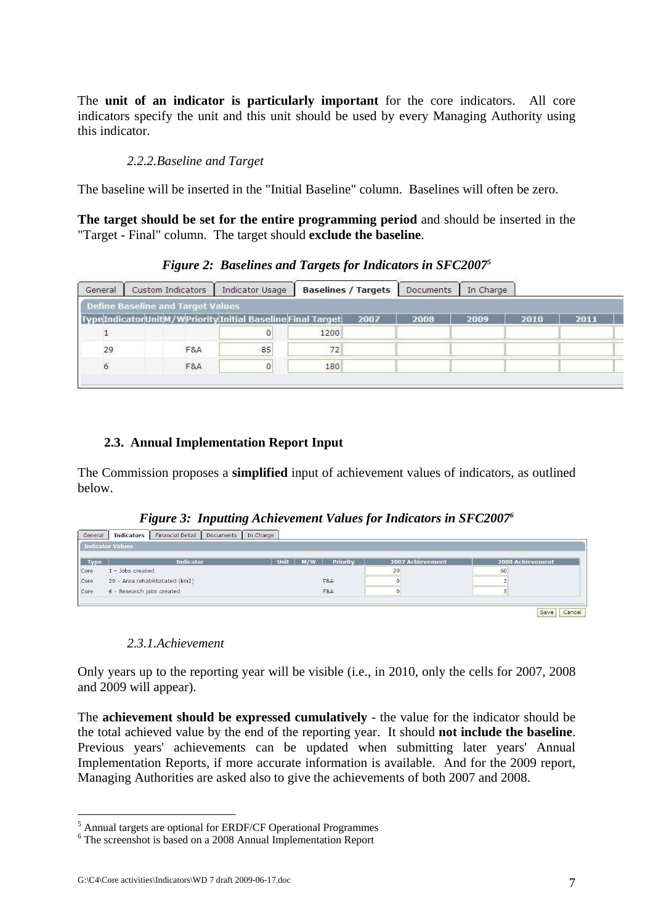The **unit of an indicator is particularly important** for the core indicators. All core indicators specify the unit and this unit should be used by every Managing Authority using this indicator.

### *2.2.2.Baseline and Target*

<span id="page-6-0"></span>The baseline will be inserted in the "Initial Baseline" column. Baselines will often be zero.

**The target should be set for the entire programming period** and should be inserted in the "Target - Final" column. The target should **exclude the baseline**.

# *Figure 2: Baselines and Targets for Indicators in SFC20075*

| General | Custom Indicators                                              | Indicator Usage | <b>Baselines / Targets</b> |      | Documents | In Charge |      |      |  |
|---------|----------------------------------------------------------------|-----------------|----------------------------|------|-----------|-----------|------|------|--|
|         | Define Baseline and Target Values                              |                 |                            |      |           |           |      |      |  |
|         | Type Indicator Unit M/W Priority Initial Baseline Final Target |                 |                            | 2007 | 2008      | 2009      | 2010 | 2011 |  |
|         |                                                                | $\overline{0}$  | 1200                       |      |           |           |      |      |  |
| 29      | F&A                                                            | 85              | 72                         |      |           |           |      |      |  |
| 6       | F&A                                                            | $\circ$         | 180                        |      |           |           |      |      |  |
|         |                                                                |                 |                            |      |           |           |      |      |  |

# **2.3. Annual Implementation Report Input**

<span id="page-6-1"></span>The Commission proposes a **simplified** input of achievement values of indicators, as outlined below.

|  | <b>Figure 3: Inputting Achievement Values for Indicators in SFC2007<sup>6</sup></b> |  |  |  |
|--|-------------------------------------------------------------------------------------|--|--|--|
|  |                                                                                     |  |  |  |

| General     | <b>Indicators</b>         | Financial Detail                | Documents | In Charge |     |          |                  |                  |
|-------------|---------------------------|---------------------------------|-----------|-----------|-----|----------|------------------|------------------|
|             | <b>Indicator Values</b>   |                                 |           |           |     |          |                  |                  |
| <b>Type</b> |                           | <b>Indicator</b>                |           | Unit      | M/W | Priority | 2007 Achievement | 2008 Achievement |
| Core        | 1 - Jobs created          |                                 |           |           |     |          | 20               | 60               |
| Core        |                           | 29 - Area rehabilitatated (km2) |           |           |     | F&A      |                  |                  |
| Core        | 6 - Research jobs created |                                 |           |           |     | F&A      |                  |                  |
|             |                           |                                 |           |           |     |          |                  |                  |
|             |                           |                                 |           |           |     |          |                  | Cancel<br>Save   |

# *2.3.1.Achievement*

<span id="page-6-2"></span>Only years up to the reporting year will be visible (i.e., in 2010, only the cells for 2007, 2008 and 2009 will appear).

The **achievement should be expressed cumulatively** - the value for the indicator should be the total achieved value by the end of the reporting year. It should **not include the baseline**. Previous years' achievements can be updated when submitting later years' Annual Implementation Reports, if more accurate information is available. And for the 2009 report, Managing Authorities are asked also to give the achievements of both 2007 and 2008.

1

 $^5$  Annual targets are optional for ERDF/CF Operational Programmes  $^6$ . The carecreated is based on a 2008 Annual Implementation Benest

 $\frac{6}{10}$  The screenshot is based on a 2008 Annual Implementation Report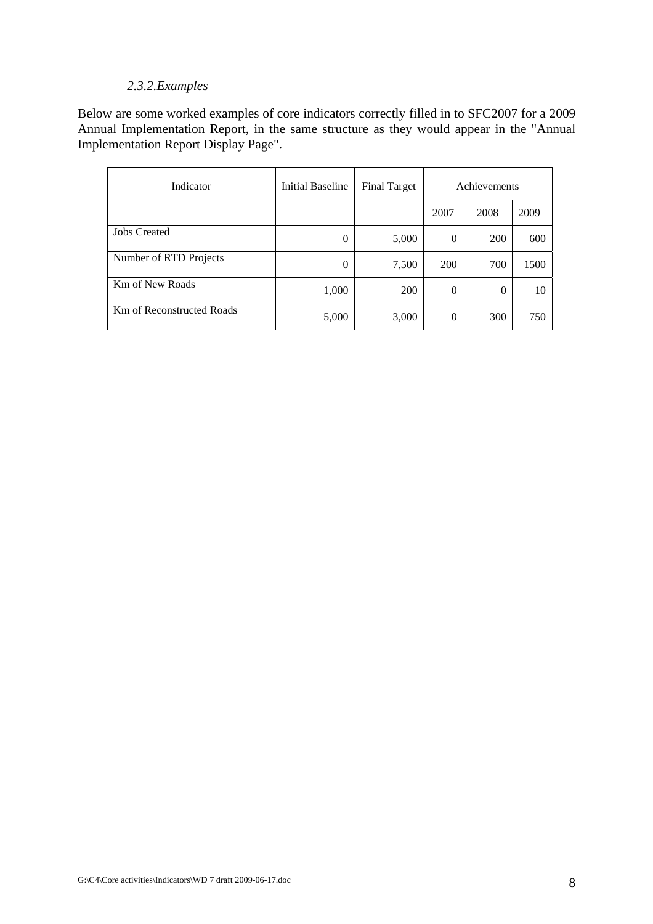# *2.3.2.Examples*

<span id="page-7-0"></span>Below are some worked examples of core indicators correctly filled in to SFC2007 for a 2009 Annual Implementation Report, in the same structure as they would appear in the "Annual Implementation Report Display Page".

| Indicator                        | <b>Initial Baseline</b> | <b>Final Target</b> | Achievements |            |      |
|----------------------------------|-------------------------|---------------------|--------------|------------|------|
|                                  |                         |                     | 2007         | 2008       | 2009 |
| <b>Jobs Created</b>              | $\theta$                | 5,000               | $\theta$     | <b>200</b> | 600  |
| Number of RTD Projects           | $\theta$                | 7,500               | 200          | 700        | 1500 |
| Km of New Roads                  | 1,000                   | 200                 | $\theta$     | $\theta$   | 10   |
| <b>Km of Reconstructed Roads</b> | 5,000                   | 3,000               | $\theta$     | 300        | 750  |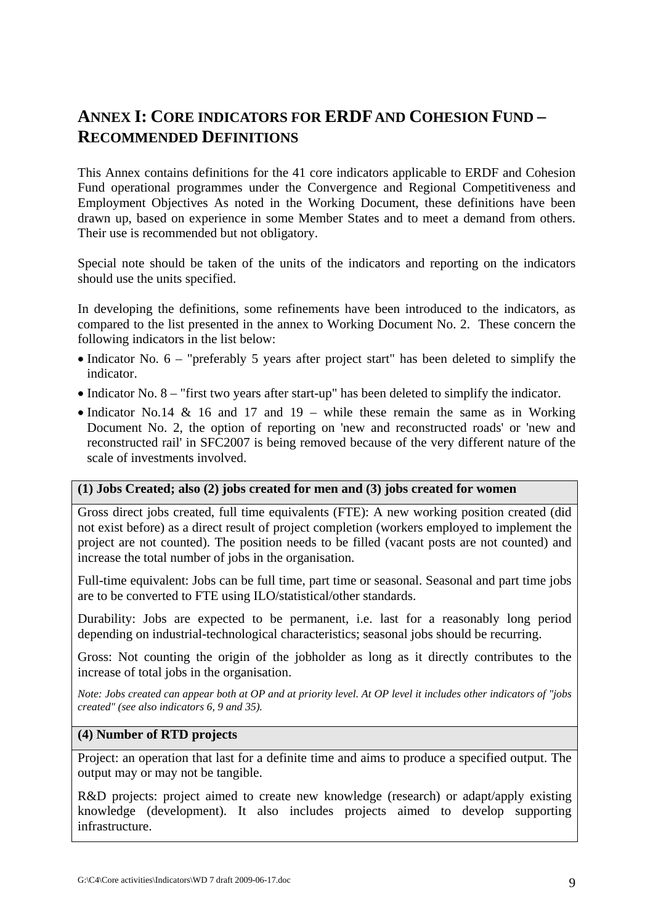# <span id="page-8-0"></span>**ANNEX I: CORE INDICATORS FOR ERDF AND COHESION FUND – RECOMMENDED DEFINITIONS**

This Annex contains definitions for the 41 core indicators applicable to ERDF and Cohesion Fund operational programmes under the Convergence and Regional Competitiveness and Employment Objectives As noted in the Working Document, these definitions have been drawn up, based on experience in some Member States and to meet a demand from others. Their use is recommended but not obligatory.

Special note should be taken of the units of the indicators and reporting on the indicators should use the units specified.

In developing the definitions, some refinements have been introduced to the indicators, as compared to the list presented in the annex to Working Document No. 2. These concern the following indicators in the list below:

- Indicator No. 6 "preferably 5 years after project start" has been deleted to simplify the indicator.
- Indicator No. 8 "first two years after start-up" has been deleted to simplify the indicator.
- Indicator No.14 & 16 and 17 and 19 while these remain the same as in Working Document No. 2, the option of reporting on 'new and reconstructed roads' or 'new and reconstructed rail' in SFC2007 is being removed because of the very different nature of the scale of investments involved.

### **(1) Jobs Created; also (2) jobs created for men and (3) jobs created for women**

Gross direct jobs created, full time equivalents (FTE): A new working position created (did not exist before) as a direct result of project completion (workers employed to implement the project are not counted). The position needs to be filled (vacant posts are not counted) and increase the total number of jobs in the organisation.

Full-time equivalent: Jobs can be full time, part time or seasonal. Seasonal and part time jobs are to be converted to FTE using ILO/statistical/other standards.

Durability: Jobs are expected to be permanent, i.e. last for a reasonably long period depending on industrial-technological characteristics; seasonal jobs should be recurring.

Gross: Not counting the origin of the jobholder as long as it directly contributes to the increase of total jobs in the organisation.

*Note: Jobs created can appear both at OP and at priority level. At OP level it includes other indicators of "jobs created" (see also indicators 6, 9 and 35).* 

### **(4) Number of RTD projects**

Project: an operation that last for a definite time and aims to produce a specified output. The output may or may not be tangible.

R&D projects: project aimed to create new knowledge (research) or adapt/apply existing knowledge (development). It also includes projects aimed to develop supporting infrastructure.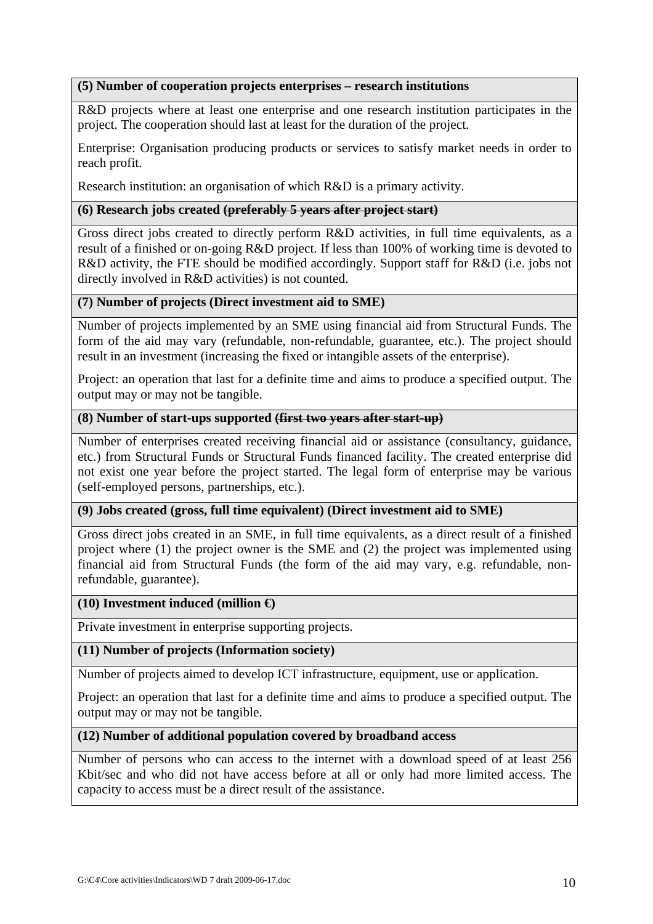## **(5) Number of cooperation projects enterprises – research institutions**

R&D projects where at least one enterprise and one research institution participates in the project. The cooperation should last at least for the duration of the project.

Enterprise: Organisation producing products or services to satisfy market needs in order to reach profit.

Research institution: an organisation of which R&D is a primary activity.

# **(6) Research jobs created (preferably 5 years after project start)**

Gross direct jobs created to directly perform R&D activities, in full time equivalents, as a result of a finished or on-going R&D project. If less than 100% of working time is devoted to R&D activity, the FTE should be modified accordingly. Support staff for R&D (i.e. jobs not directly involved in R&D activities) is not counted.

# **(7) Number of projects (Direct investment aid to SME)**

Number of projects implemented by an SME using financial aid from Structural Funds. The form of the aid may vary (refundable, non-refundable, guarantee, etc.). The project should result in an investment (increasing the fixed or intangible assets of the enterprise).

Project: an operation that last for a definite time and aims to produce a specified output. The output may or may not be tangible.

## **(8) Number of start-ups supported (first two years after start-up)**

Number of enterprises created receiving financial aid or assistance (consultancy, guidance, etc.) from Structural Funds or Structural Funds financed facility. The created enterprise did not exist one year before the project started. The legal form of enterprise may be various (self-employed persons, partnerships, etc.).

### **(9) Jobs created (gross, full time equivalent) (Direct investment aid to SME)**

Gross direct jobs created in an SME, in full time equivalents, as a direct result of a finished project where (1) the project owner is the SME and (2) the project was implemented using financial aid from Structural Funds (the form of the aid may vary, e.g. refundable, nonrefundable, guarantee).

### **(10) Investment induced (million €)**

Private investment in enterprise supporting projects.

### **(11) Number of projects (Information society)**

Number of projects aimed to develop ICT infrastructure, equipment, use or application.

Project: an operation that last for a definite time and aims to produce a specified output. The output may or may not be tangible.

### **(12) Number of additional population covered by broadband access**

Number of persons who can access to the internet with a download speed of at least 256 Kbit/sec and who did not have access before at all or only had more limited access. The capacity to access must be a direct result of the assistance.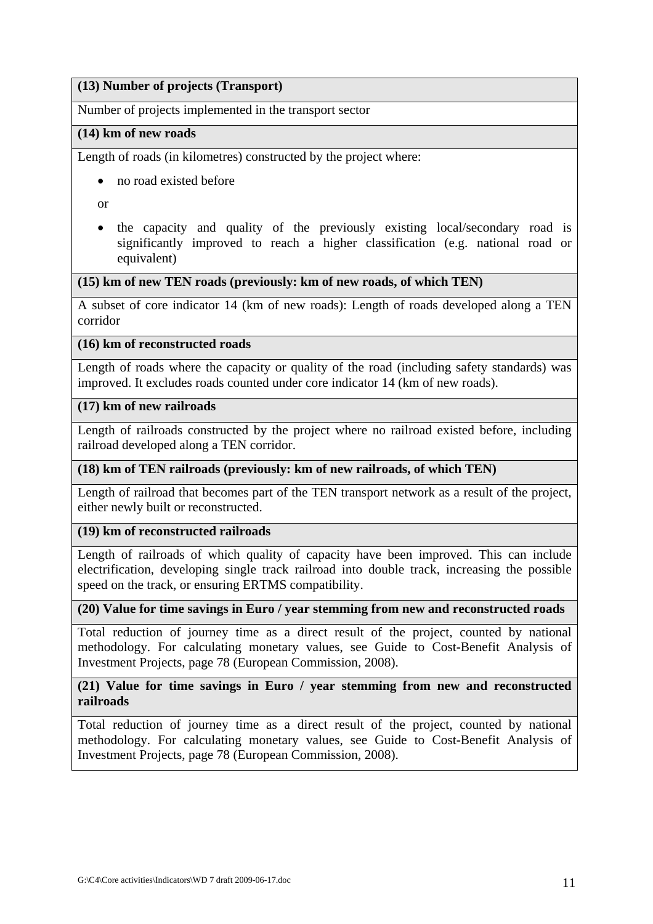# **(13) Number of projects (Transport)**

Number of projects implemented in the transport sector

## **(14) km of new roads**

Length of roads (in kilometres) constructed by the project where:

• no road existed before

or

• the capacity and quality of the previously existing local/secondary road is significantly improved to reach a higher classification (e.g. national road or equivalent)

# **(15) km of new TEN roads (previously: km of new roads, of which TEN)**

A subset of core indicator 14 (km of new roads): Length of roads developed along a TEN corridor

### **(16) km of reconstructed roads**

Length of roads where the capacity or quality of the road (including safety standards) was improved. It excludes roads counted under core indicator 14 (km of new roads).

# **(17) km of new railroads**

Length of railroads constructed by the project where no railroad existed before, including railroad developed along a TEN corridor.

# **(18) km of TEN railroads (previously: km of new railroads, of which TEN)**

Length of railroad that becomes part of the TEN transport network as a result of the project, either newly built or reconstructed.

### **(19) km of reconstructed railroads**

Length of railroads of which quality of capacity have been improved. This can include electrification, developing single track railroad into double track, increasing the possible speed on the track, or ensuring ERTMS compatibility.

### **(20) Value for time savings in Euro / year stemming from new and reconstructed roads**

Total reduction of journey time as a direct result of the project, counted by national methodology. For calculating monetary values, see Guide to Cost-Benefit Analysis of Investment Projects, page 78 (European Commission, 2008).

# **(21) Value for time savings in Euro / year stemming from new and reconstructed railroads**

Total reduction of journey time as a direct result of the project, counted by national methodology. For calculating monetary values, see Guide to Cost-Benefit Analysis of Investment Projects, page 78 (European Commission, 2008).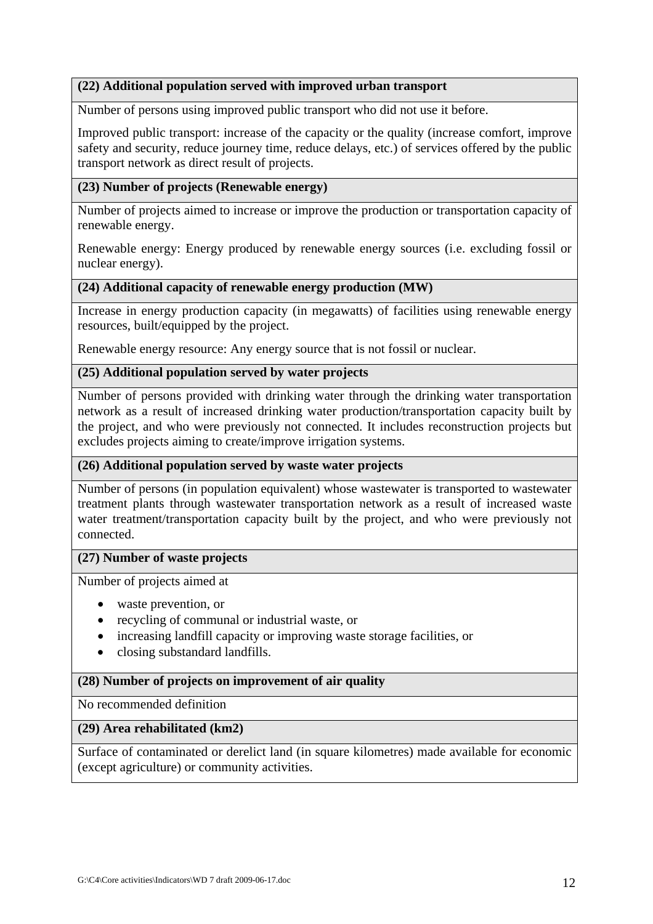# **(22) Additional population served with improved urban transport**

Number of persons using improved public transport who did not use it before.

Improved public transport: increase of the capacity or the quality (increase comfort, improve safety and security, reduce journey time, reduce delays, etc.) of services offered by the public transport network as direct result of projects.

# **(23) Number of projects (Renewable energy)**

Number of projects aimed to increase or improve the production or transportation capacity of renewable energy.

Renewable energy: Energy produced by renewable energy sources (i.e. excluding fossil or nuclear energy).

#### **(24) Additional capacity of renewable energy production (MW)**

Increase in energy production capacity (in megawatts) of facilities using renewable energy resources, built/equipped by the project.

Renewable energy resource: Any energy source that is not fossil or nuclear.

### **(25) Additional population served by water projects**

Number of persons provided with drinking water through the drinking water transportation network as a result of increased drinking water production/transportation capacity built by the project, and who were previously not connected. It includes reconstruction projects but excludes projects aiming to create/improve irrigation systems.

### **(26) Additional population served by waste water projects**

Number of persons (in population equivalent) whose wastewater is transported to wastewater treatment plants through wastewater transportation network as a result of increased waste water treatment/transportation capacity built by the project, and who were previously not connected.

#### **(27) Number of waste projects**

Number of projects aimed at

- waste prevention, or
- recycling of communal or industrial waste, or
- increasing landfill capacity or improving waste storage facilities, or
- closing substandard landfills.

#### **(28) Number of projects on improvement of air quality**

No recommended definition

#### **(29) Area rehabilitated (km2)**

Surface of contaminated or derelict land (in square kilometres) made available for economic (except agriculture) or community activities.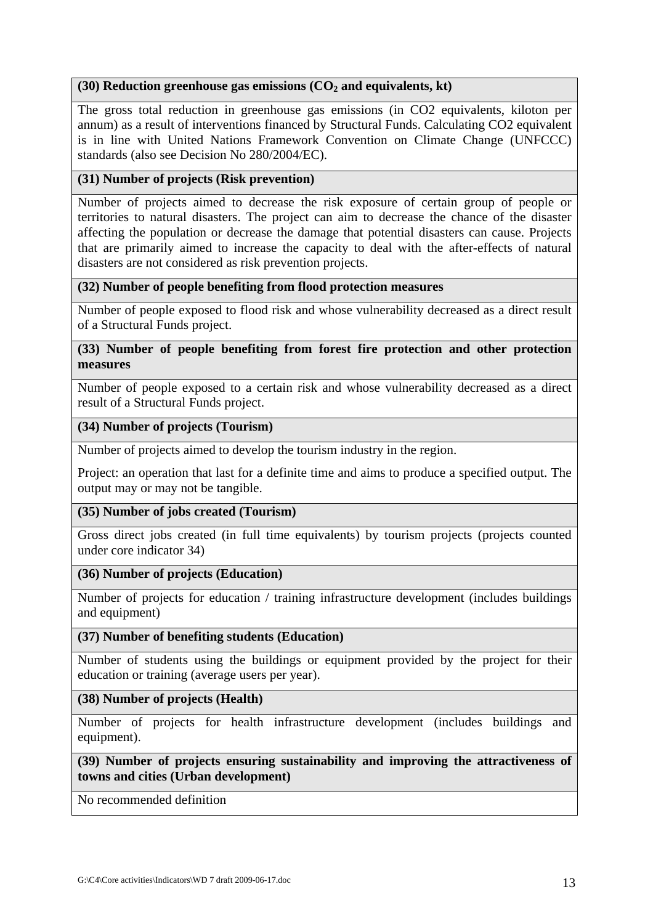# (30) Reduction greenhouse gas emissions (CO<sub>2</sub> and equivalents, kt)

The gross total reduction in greenhouse gas emissions (in CO2 equivalents, kiloton per annum) as a result of interventions financed by Structural Funds. Calculating CO2 equivalent is in line with United Nations Framework Convention on Climate Change (UNFCCC) standards (also see Decision No 280/2004/EC).

# **(31) Number of projects (Risk prevention)**

Number of projects aimed to decrease the risk exposure of certain group of people or territories to natural disasters. The project can aim to decrease the chance of the disaster affecting the population or decrease the damage that potential disasters can cause. Projects that are primarily aimed to increase the capacity to deal with the after-effects of natural disasters are not considered as risk prevention projects.

## **(32) Number of people benefiting from flood protection measures**

Number of people exposed to flood risk and whose vulnerability decreased as a direct result of a Structural Funds project.

# **(33) Number of people benefiting from forest fire protection and other protection measures**

Number of people exposed to a certain risk and whose vulnerability decreased as a direct result of a Structural Funds project.

## **(34) Number of projects (Tourism)**

Number of projects aimed to develop the tourism industry in the region.

Project: an operation that last for a definite time and aims to produce a specified output. The output may or may not be tangible.

### **(35) Number of jobs created (Tourism)**

Gross direct jobs created (in full time equivalents) by tourism projects (projects counted under core indicator 34)

## **(36) Number of projects (Education)**

Number of projects for education / training infrastructure development (includes buildings and equipment)

### **(37) Number of benefiting students (Education)**

Number of students using the buildings or equipment provided by the project for their education or training (average users per year).

### **(38) Number of projects (Health)**

Number of projects for health infrastructure development (includes buildings and equipment).

### **(39) Number of projects ensuring sustainability and improving the attractiveness of towns and cities (Urban development)**

No recommended definition